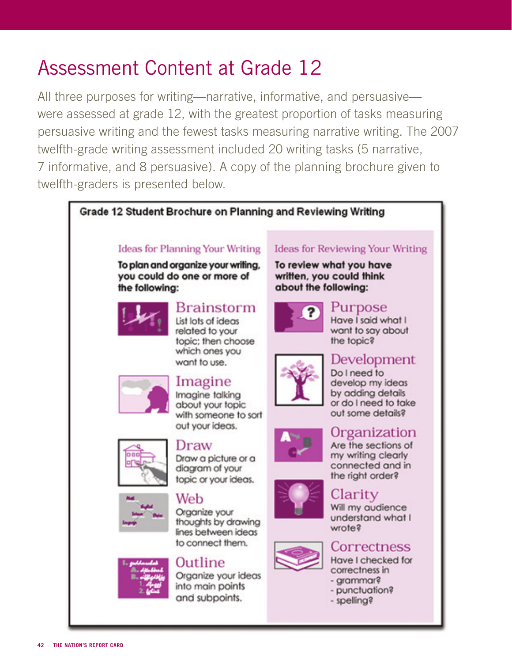# Assessment Content at Grade 12

All three purposes for writing—narrative, informative, and persuasive were assessed at grade 12, with the greatest proportion of tasks measuring persuasive writing and the fewest tasks measuring narrative writing. The 2007 twelfth-grade writing assessment included 20 writing tasks (5 narrative, 7 informative, and 8 persuasive). A copy of the planning brochure given to twelfth-graders is presented below.

### Grade 12 Student Brochure on Planning and Reviewing Writing

### **Ideas for Planning Your Writing**

To plan and organize your writing, you could do one or more of the following:



### **Brainstorm**

List lots of ideas related to your topic: then choose which ones you want to use.



#### Imagine Imagine talking about your topic with someone to sort



Draw Draw a picture or a diagram of your topic or your ideas.



#### Web Organize your thoughts by drawing lines between ideas to connect them.



### Outline Organize your ideas into main points and subpoints.

### **Ideas for Reviewing Your Writing**

To review what you have written, you could think about the following:



#### Purpose Have I said what I want to say about

the topic?



### Development Do I need to

develop my ideas by adding details or do I need to take out some details?



# Organization

Are the sections of my writing clearly connected and in the right order?

# Clarity

Will my audience understand what I wrote?



# Correctness

Have I checked for correctness in - grammar?

- punctuation?
- spelling?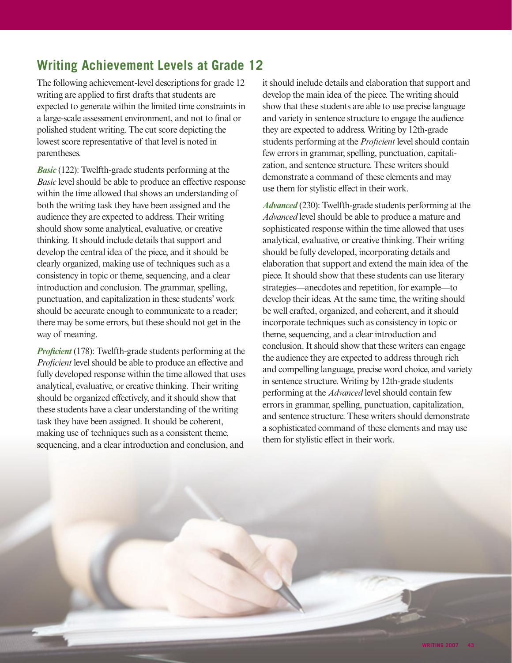# **Writing Achievement Levels at Grade 12**

The following achievement-level descriptions for grade 12 writing are applied to first drafts that students are expected to generate within the limited time constraints in a large-scale assessment environment, and not to final or polished student writing. The cut score depicting the lowest score representative of that level is noted in parentheses.

*Basic* (122): Twelfth-grade students performing at the *Basic* level should be able to produce an effective response within the time allowed that shows an understanding of both the writing task they have been assigned and the audience they are expected to address. Their writing should show some analytical, evaluative, or creative thinking. It should include details that support and develop the central idea of the piece, and it should be clearly organized, making use of techniques such as a consistency in topic or theme, sequencing, and a clear introduction and conclusion. The grammar, spelling, punctuation, and capitalization in these students' work should be accurate enough to communicate to a reader; there may be some errors, but these should not get in the way of meaning.

*Proficient* (178): Twelfth-grade students performing at the *Proficient* level should be able to produce an effective and fully developed response within the time allowed that uses analytical, evaluative, or creative thinking. Their writing should be organized effectively, and it should show that these students have a clear understanding of the writing task they have been assigned. It should be coherent, making use of techniques such as a consistent theme, sequencing, and a clear introduction and conclusion, and

it should include details and elaboration that support and develop the main idea of the piece. The writing should show that these students are able to use precise language and variety in sentence structure to engage the audience they are expected to address. Writing by 12th-grade students performing at the *Proficient* level should contain few errors in grammar, spelling, punctuation, capitalization, and sentence structure. These writers should demonstrate a command of these elements and may use them for stylistic effect in their work.

*Advanced* (230): Twelfth-grade students performing at the *Advanced* level should be able to produce a mature and sophisticated response within the time allowed that uses analytical, evaluative, or creative thinking. Their writing should be fully developed, incorporating details and elaboration that support and extend the main idea of the piece. It should show that these students can use literary strategies—anecdotes and repetition, for example—to develop their ideas. At the same time, the writing should be well crafted, organized, and coherent, and it should incorporate techniques such as consistency in topic or theme, sequencing, and a clear introduction and conclusion. It should show that these writers can engage the audience they are expected to address through rich and compelling language, precise word choice, and variety in sentence structure. Writing by 12th-grade students performing at the *Advanced* level should contain few errors in grammar, spelling, punctuation, capitalization, and sentence structure. These writers should demonstrate a sophisticated command of these elements and may use them for stylistic effect in their work.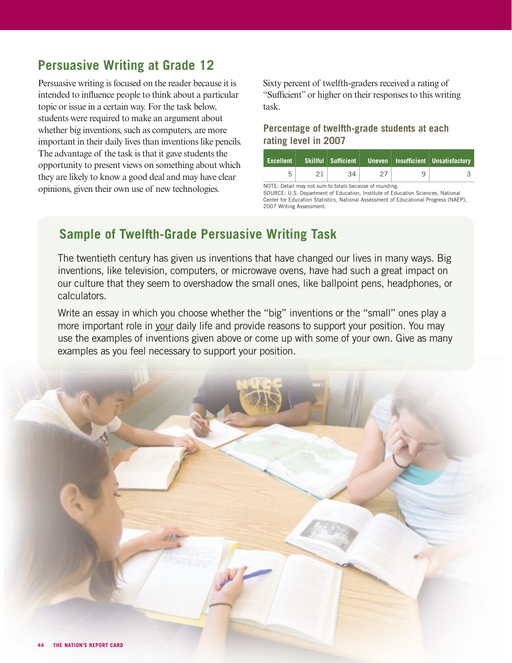# **Persuasive Writing at Grade 12**

Persuasive writing is focused on the reader because it is intended to influence people to think about a particular topic or issue in a certain way. For the task below, students were required to make an argument about whether big inventions, such as computers, are more important in their daily lives than inventions like pencils. The advantage of the task is that it gave students the opportunity to present views on something about which they are likely to know a good deal and may have clear opinions, given their own use of new technologies.

Sixty percent of twelfth-graders received a rating of "Sufficient" or higher on their responses to this writing task.

### **Percentage of twelfth-grade students at each rating level in 2007**

| <b>Excellent</b> |    |  | Skillful   Sufficient   Uneven   Insufficient   Unsatisfactory |
|------------------|----|--|----------------------------------------------------------------|
|                  | 34 |  |                                                                |

NOTE: Detail may not sum to totals because of rounding.

SOURCE: U.S. Department of Education, Institute of Education Sciences, National Center for Education Statistics, National Assessment of Educational Progress (NAEP), 2007 Writing Assessment.

### **Sample of Twelfth-Grade Persuasive Writing Task**

The twentieth century has given us inventions that have changed our lives in many ways. Big inventions, like television, computers, or microwave ovens, have had such a great impact on our culture that they seem to overshadow the small ones, like ballpoint pens, headphones, or calculators.

Write an essay in which you choose whether the "big" inventions or the "small" ones play a more important role in your daily life and provide reasons to support your position. You may use the examples of inventions given above or come up with some of your own. Give as many examples as you feel necessary to support your position.

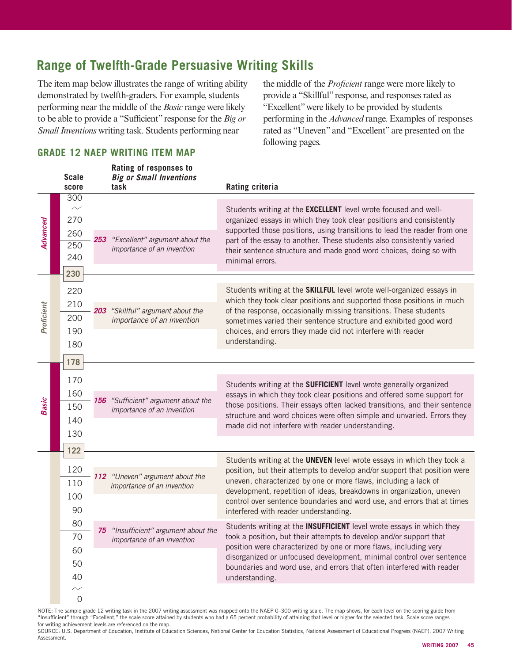# **Range of Twelfth-Grade Persuasive Writing Skills**

The item map below illustrates the range of writing ability demonstrated by twelfth-graders. For example, students performing near the middle of the *Basic* range were likely to be able to provide a "Sufficient" response for the *Big or Small Inventions* writing task. Students performing near

**Rating of responses to** 

the middle of the *Proficient* range were more likely to provide a "Skillful" response, and responses rated as "Excellent" were likely to be provided by students performing in the *Advanced* range. Examples of responses rated as "Uneven" and "Excellent" are presented on the following pages.

### **GRADE 12 NAEP WRITING ITEM MAP**

|              | <b>Scale</b><br>score             |     | natilig vi roopoliooo tu<br><b>Big or Small Inventions</b><br>task | <b>Rating criteria</b>                                                                                                                                                                                                                     |  |  |
|--------------|-----------------------------------|-----|--------------------------------------------------------------------|--------------------------------------------------------------------------------------------------------------------------------------------------------------------------------------------------------------------------------------------|--|--|
| Advanced     | $\overline{300}$<br>$\sim$<br>270 |     |                                                                    | Students writing at the <b>EXCELLENT</b> level wrote focused and well-<br>organized essays in which they took clear positions and consistently                                                                                             |  |  |
|              | 260                               | 253 | "Excellent" argument about the                                     | supported those positions, using transitions to lead the reader from one<br>part of the essay to another. These students also consistently varied<br>their sentence structure and made good word choices, doing so with<br>minimal errors. |  |  |
|              | 250<br>240                        |     | importance of an invention                                         |                                                                                                                                                                                                                                            |  |  |
|              | 230                               |     |                                                                    |                                                                                                                                                                                                                                            |  |  |
| Proficient   | 220                               |     |                                                                    | Students writing at the SKILLFUL level wrote well-organized essays in                                                                                                                                                                      |  |  |
|              | 210                               |     | 203 "Skillful" argument about the                                  | which they took clear positions and supported those positions in much<br>of the response, occasionally missing transitions. These students                                                                                                 |  |  |
|              | 200<br>190                        |     | importance of an invention                                         | sometimes varied their sentence structure and exhibited good word<br>choices, and errors they made did not interfere with reader                                                                                                           |  |  |
|              | 180                               |     |                                                                    | understanding.                                                                                                                                                                                                                             |  |  |
|              | 178                               |     |                                                                    |                                                                                                                                                                                                                                            |  |  |
|              |                                   |     |                                                                    |                                                                                                                                                                                                                                            |  |  |
|              | 170<br>160                        |     |                                                                    | Students writing at the <b>SUFFICIENT</b> level wrote generally organized<br>essays in which they took clear positions and offered some support for                                                                                        |  |  |
| <b>Basic</b> | 150                               |     | 156 "Sufficient" argument about the<br>importance of an invention  | those positions. Their essays often lacked transitions, and their sentence<br>structure and word choices were often simple and unvaried. Errors they<br>made did not interfere with reader understanding.                                  |  |  |
|              | 140                               |     |                                                                    |                                                                                                                                                                                                                                            |  |  |
|              | 130                               |     |                                                                    |                                                                                                                                                                                                                                            |  |  |
|              | 122                               |     |                                                                    |                                                                                                                                                                                                                                            |  |  |
|              | 120                               |     |                                                                    | Students writing at the UNEVEN level wrote essays in which they took a<br>position, but their attempts to develop and/or support that position were                                                                                        |  |  |
|              | 110                               |     | 112 "Uneven" argument about the<br>importance of an invention      | uneven, characterized by one or more flaws, including a lack of<br>development, repetition of ideas, breakdowns in organization, uneven                                                                                                    |  |  |
|              | 100                               |     |                                                                    | control over sentence boundaries and word use, and errors that at times                                                                                                                                                                    |  |  |
|              | 90                                |     |                                                                    | interfered with reader understanding.                                                                                                                                                                                                      |  |  |
|              | 80<br>70                          |     | 75 "Insufficient" argument about the                               | Students writing at the INSUFFICIENT level wrote essays in which they<br>took a position, but their attempts to develop and/or support that                                                                                                |  |  |
|              | 60                                |     | importance of an invention                                         | position were characterized by one or more flaws, including very                                                                                                                                                                           |  |  |
|              | 50                                |     |                                                                    | disorganized or unfocused development, minimal control over sentence<br>boundaries and word use, and errors that often interfered with reader                                                                                              |  |  |
|              | 40                                |     |                                                                    | understanding.                                                                                                                                                                                                                             |  |  |
|              |                                   | 0   |                                                                    |                                                                                                                                                                                                                                            |  |  |

NOTE: The sample grade 12 writing task in the 2007 writing assessment was mapped onto the NAEP 0–300 writing scale. The map shows, for each level on the scoring guide from "Insufficient" through "Excellent," the scale score attained by students who had a 65 percent probability of attaining that level or higher for the selected task. Scale score ranges for writing achievement levels are referenced on the map.

SOURCE: U.S. Department of Education, Institute of Education Sciences, National Center for Education Statistics, National Assessment of Educational Progress (NAEP), 2007 Writing Assessment.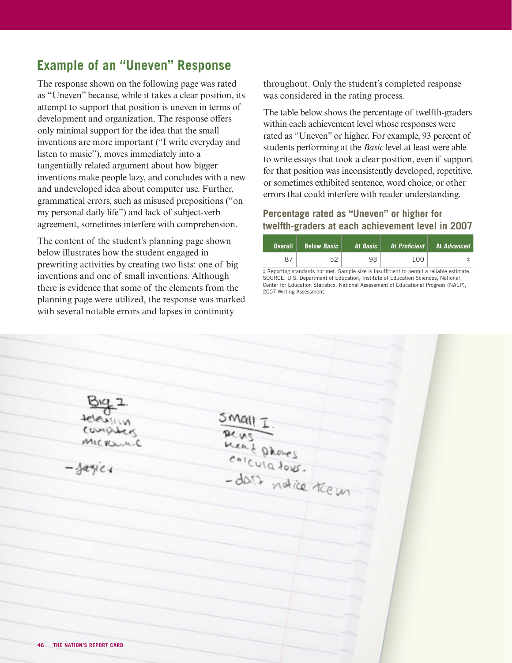### **Example of an "Uneven" Response**

The response shown on the following page was rated as "Uneven" because, while it takes a clear position, its attempt to support that position is uneven in terms of development and organization. The response offers only minimal support for the idea that the small inventions are more important ("I write everyday and listen to music"), moves immediately into a tangentially related argument about how bigger inventions make people lazy, and concludes with a new and undeveloped idea about computer use. Further, grammatical errors, such as misused prepositions ("on my personal daily life") and lack of subject-verb agreement, sometimes interfere with comprehension.

The content of the student's planning page shown below illustrates how the student engaged in prewriting activities by creating two lists: one of big inventions and one of small inventions. Although there is evidence that some of the elements from the planning page were utilized, the response was marked with several notable errors and lapses in continuity

throughout. Only the student's completed response was considered in the rating process.

The table below shows the percentage of twelfth-graders within each achievement level whose responses were rated as "Uneven" or higher. For example, 93 percent of students performing at the *Basic* level at least were able to write essays that took a clear position, even if support for that position was inconsistently developed, repetitive, or sometimes exhibited sentence, word choice, or other errors that could interfere with reader understanding.

#### **Percentage rated as "Uneven" or higher for twelfth-graders at each achievement level in 2007**

| <b>Overall</b> | <b>Below Basic</b> |    | At <i>Basic</i>   At <i>Proficient</i>   At <i>Advanced</i> |  |
|----------------|--------------------|----|-------------------------------------------------------------|--|
| 87             | 52                 | 93 | 100                                                         |  |

 $\ddagger$  Reporting standards not met. Sample size is insufficient to permit a reliable estimate. SOURCE: U.S. Department of Education, Institute of Education Sciences, National Center for Education Statistics, National Assessment of Educational Progress (NAEP), 2007 Writing Assessment.

Real phones  $arg(c)$ dars notice teem **46 THE NATION'S REPORT CARD**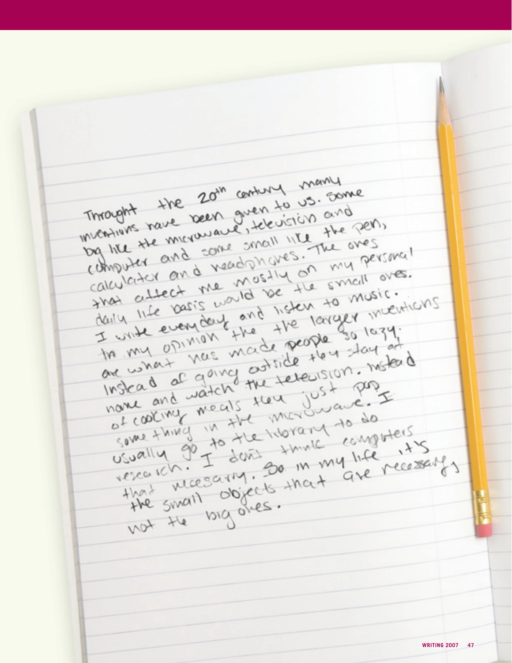Throught the 20th century many<br>Throught the been given to us. Son Imaght the 20th century wand Throught the been given to us.<br>Inventiums rave been given to us. and mought rave been guession and not have not the person and some small like the ones computer and some small like the oves og lite the and some small the oversing!<br>Calculator and nead phares. The oversing!<br>Shot attect the nost yet small over. dividend and veadonates my personal dividend calculator and mostly or small over.<br>Hally life beindery and listen to music. taily the evening and the larger many.<br>In my opinion the the solary. In my opinion the people so large In my and not the telepision. Motord that were ich. He small objects that are recessed that we say that the recessed the there is the recessed that we have the recessed that we have the recessed that we have the recessed that we have the small objects that ar sually of don't go in my life recessary, the small big ones. **WRITING 2007 47**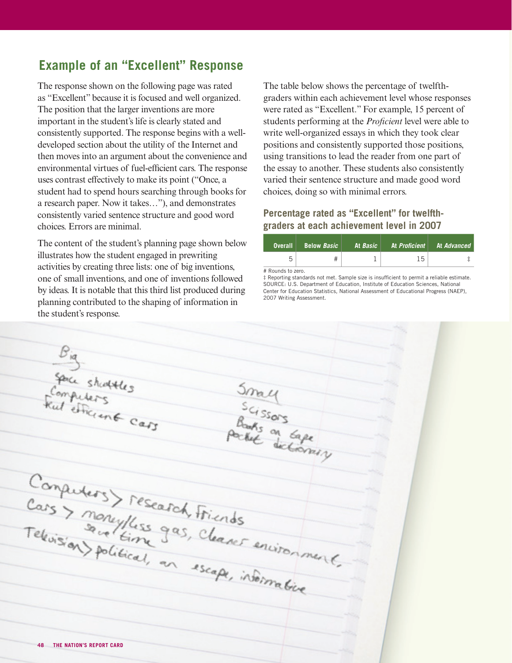## **Example of an "Excellent" Response**

The response shown on the following page was rated as "Excellent" because it is focused and well organized. The position that the larger inventions are more important in the student's life is clearly stated and consistently supported. The response begins with a welldeveloped section about the utility of the Internet and then moves into an argument about the convenience and environmental virtues of fuel-efficient cars. The response uses contrast effectively to make its point ("Once, a student had to spend hours searching through books for a research paper. Now it takes…"), and demonstrates consistently varied sentence structure and good word choices. Errors are minimal.

The content of the student's planning page shown below illustrates how the student engaged in prewriting activities by creating three lists: one of big inventions, one of small inventions, and one of inventions followed by ideas. It is notable that this third list produced during planning contributed to the shaping of information in the student's response.

The table below shows the percentage of twelfthgraders within each achievement level whose responses were rated as "Excellent." For example, 15 percent of students performing at the *Proficient* level were able to write well-organized essays in which they took clear positions and consistently supported those positions, using transitions to lead the reader from one part of the essay to another. These students also consistently varied their sentence structure and made good word choices, doing so with minimal errors.

#### **Percentage rated as "Excellent" for twelfthgraders at each achievement level in 2007**

| ∣ Overall ∣ | <b>Below Basic</b> | At Basic | At <i>Proficient</i> | At <i>Advanced</i> |
|-------------|--------------------|----------|----------------------|--------------------|
|             |                    |          | 15                   |                    |

# Rounds to zero.

 $#$  Reporting standards not met. Sample size is insufficient to permit a reliable estimate. SOURCE: U.S. Department of Education, Institute of Education Sciences, National Center for Education Statistics, National Assessment of Educational Progress (NAEP), 2007 Writing Assessment.

Big<br>Space shaptles<br>Ful efficient cars Small<br>Scissors<br>Pocket on tape Carguders > research Friends<br>Television serve lime gas, cleaner environment. **48 THE NATION'S REPORT CARD**